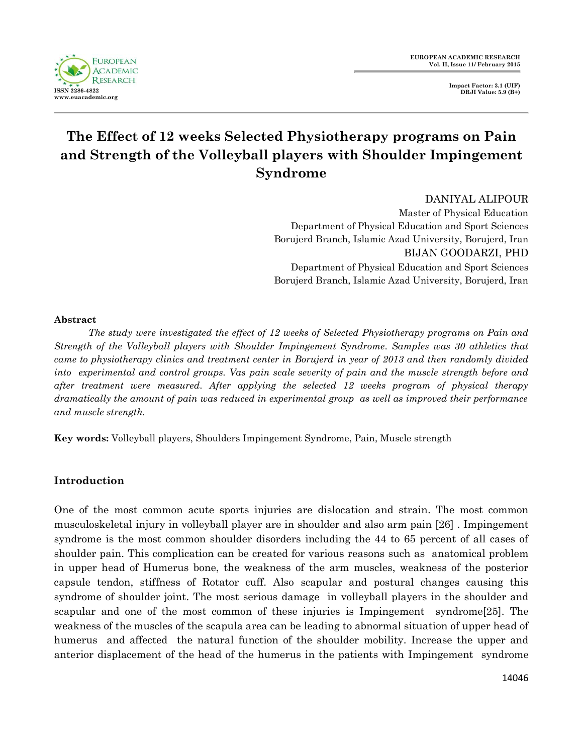**FUROPEAN ACADEMIC RESEARCH ISSN 2286-4822 www.euacademic.org**

**Impact Factor: 3.1 (UIF) DRJI Value: 5.9 (B+)**

# **The Effect of 12 weeks Selected Physiotherapy programs on Pain and Strength of the Volleyball players with Shoulder Impingement Syndrome**

DANIYAL ALIPOUR Master of Physical Education Department of Physical Education and Sport Sciences Borujerd Branch, Islamic Azad University, Borujerd, Iran BIJAN GOODARZI, PHD Department of Physical Education and Sport Sciences Borujerd Branch, Islamic Azad University, Borujerd, Iran

### **Abstract**

*The study were investigated the effect of 12 weeks of Selected Physiotherapy programs on Pain and Strength of the Volleyball players with Shoulder Impingement Syndrome. Samples was 30 athletics that came to physiotherapy clinics and treatment center in Borujerd in year of 2013 and then randomly divided into experimental and control groups. Vas pain scale severity of pain and the muscle strength before and after treatment were measured. After applying the selected 12 weeks program of physical therapy dramatically the amount of pain was reduced in experimental group as well as improved their performance and muscle strength.*

**Key words:** Volleyball players, Shoulders Impingement Syndrome, Pain, Muscle strength

## **Introduction**

One of the most common acute sports injuries are dislocation and strain. The most common musculoskeletal injury in volleyball player are in shoulder and also arm pain [26] . Impingement syndrome is the most common shoulder disorders including the 44 to 65 percent of all cases of shoulder pain. This complication can be created for various reasons such as anatomical problem in upper head of Humerus bone, the weakness of the arm muscles, weakness of the posterior capsule tendon, stiffness of Rotator cuff. Also scapular and postural changes causing this syndrome of shoulder joint. The most serious damage in volleyball players in the shoulder and scapular and one of the most common of these injuries is Impingement syndrome[25]. The weakness of the muscles of the scapula area can be leading to abnormal situation of upper head of humerus and affected the natural function of the shoulder mobility. Increase the upper and anterior displacement of the head of the humerus in the patients with Impingement syndrome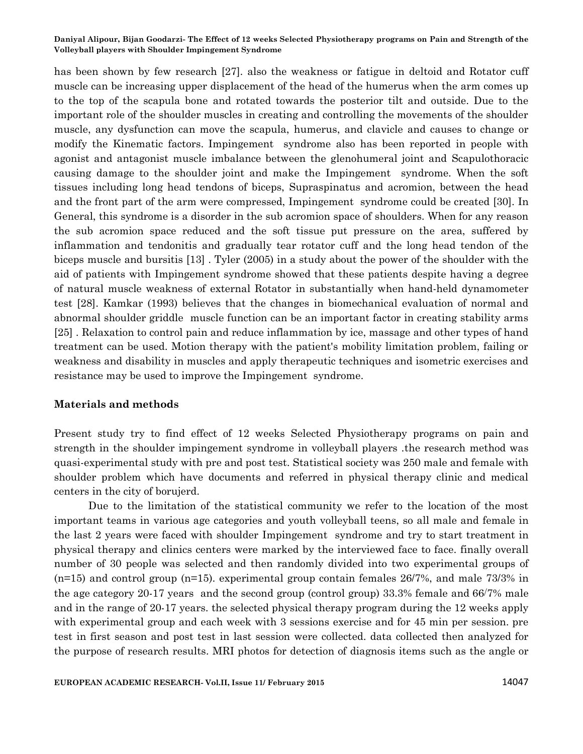has been shown by few research [27]. also the weakness or fatigue in deltoid and Rotator cuff muscle can be increasing upper displacement of the head of the humerus when the arm comes up to the top of the scapula bone and rotated towards the posterior tilt and outside. Due to the important role of the shoulder muscles in creating and controlling the movements of the shoulder muscle, any dysfunction can move the scapula, humerus, and clavicle and causes to change or modify the Kinematic factors. Impingement syndrome also has been reported in people with agonist and antagonist muscle imbalance between the glenohumeral joint and Scapulothoracic causing damage to the shoulder joint and make the Impingement syndrome. When the soft tissues including long head tendons of biceps, Supraspinatus and acromion, between the head and the front part of the arm were compressed, Impingement syndrome could be created [30]. In General, this syndrome is a disorder in the sub acromion space of shoulders. When for any reason the sub acromion space reduced and the soft tissue put pressure on the area, suffered by inflammation and tendonitis and gradually tear rotator cuff and the long head tendon of the biceps muscle and bursitis [13] . Tyler (2005) in a study about the power of the shoulder with the aid of patients with Impingement syndrome showed that these patients despite having a degree of natural muscle weakness of external Rotator in substantially when hand-held dynamometer test [28]. Kamkar (1993) believes that the changes in biomechanical evaluation of normal and abnormal shoulder griddle muscle function can be an important factor in creating stability arms [25] . Relaxation to control pain and reduce inflammation by ice, massage and other types of hand treatment can be used. Motion therapy with the patient's mobility limitation problem, failing or weakness and disability in muscles and apply therapeutic techniques and isometric exercises and resistance may be used to improve the Impingement syndrome.

#### **Materials and methods**

Present study try to find effect of 12 weeks Selected Physiotherapy programs on pain and strength in the shoulder impingement syndrome in volleyball players .the research method was quasi-experimental study with pre and post test. Statistical society was 250 male and female with shoulder problem which have documents and referred in physical therapy clinic and medical centers in the city of borujerd.

Due to the limitation of the statistical community we refer to the location of the most important teams in various age categories and youth volleyball teens, so all male and female in the last 2 years were faced with shoulder Impingement syndrome and try to start treatment in physical therapy and clinics centers were marked by the interviewed face to face. finally overall number of 30 people was selected and then randomly divided into two experimental groups of  $(n=15)$  and control group  $(n=15)$ . experimental group contain females 26/7%, and male 73/3% in the age category 20-17 years and the second group (control group) 33.3% female and 66/7% male and in the range of 20-17 years. the selected physical therapy program during the 12 weeks apply with experimental group and each week with 3 sessions exercise and for 45 min per session. pre test in first season and post test in last session were collected. data collected then analyzed for the purpose of research results. MRI photos for detection of diagnosis items such as the angle or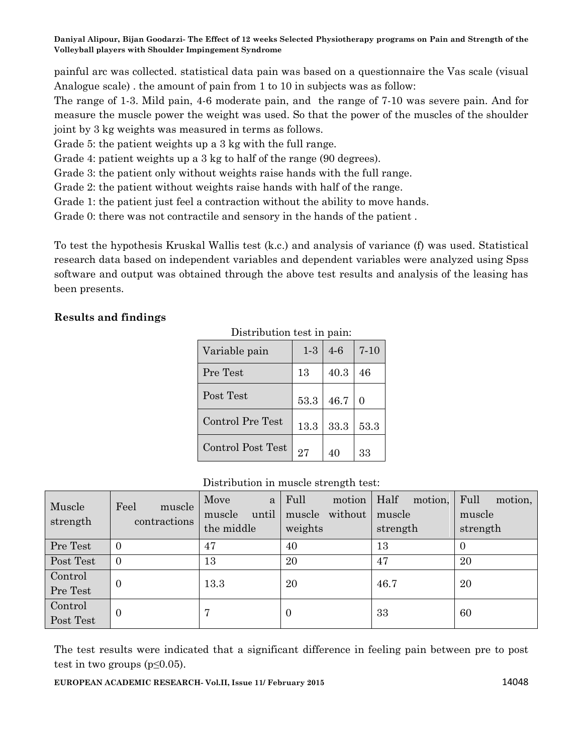painful arc was collected. statistical data pain was based on a questionnaire the Vas scale (visual Analogue scale) . the amount of pain from 1 to 10 in subjects was as follow:

The range of 1-3. Mild pain, 4-6 moderate pain, and the range of 7-10 was severe pain. And for measure the muscle power the weight was used. So that the power of the muscles of the shoulder joint by 3 kg weights was measured in terms as follows.

Grade 5: the patient weights up a 3 kg with the full range.

Grade 4: patient weights up a 3 kg to half of the range (90 degrees).

Grade 3: the patient only without weights raise hands with the full range.

Grade 2: the patient without weights raise hands with half of the range.

Grade 1: the patient just feel a contraction without the ability to move hands.

Grade 0: there was not contractile and sensory in the hands of the patient .

To test the hypothesis Kruskal Wallis test (k.c.) and analysis of variance (f) was used. Statistical research data based on independent variables and dependent variables were analyzed using Spss software and output was obtained through the above test results and analysis of the leasing has been presents.

Distribution test in pain:

# **Results and findings**

| Variable pain           | $1-3$ | $4-6$ | $7 - 10$ |
|-------------------------|-------|-------|----------|
| Pre Test                | 13    | 40.3  | 46       |
| Post Test               | 53.3  | 46.7  | $\Omega$ |
| <b>Control Pre Test</b> | 13.3  | 33.3  | 53.3     |
| Control Post Test       | 27    |       | 33       |

## Distribution in muscle strength test:

| Muscle<br>strength   | Feel<br>muscle<br>contractions | Move<br>a<br>until<br>muscle<br>the middle | Full<br>motion<br>without<br>muscle<br>weights | Half<br>motion,<br>muscle<br>strength | Full<br>motion,<br>muscle<br>strength |
|----------------------|--------------------------------|--------------------------------------------|------------------------------------------------|---------------------------------------|---------------------------------------|
| Pre Test             | 0                              | 47                                         | 40                                             | 13                                    |                                       |
| Post Test            | $\Omega$                       | 13                                         | 20                                             | 47                                    | 20                                    |
| Control<br>Pre Test  | $\theta$                       | 13.3                                       | 20                                             | 46.7                                  | 20                                    |
| Control<br>Post Test | $\theta$                       | 7                                          | v                                              | 33                                    | 60                                    |

The test results were indicated that a significant difference in feeling pain between pre to post test in two groups  $(p \le 0.05)$ .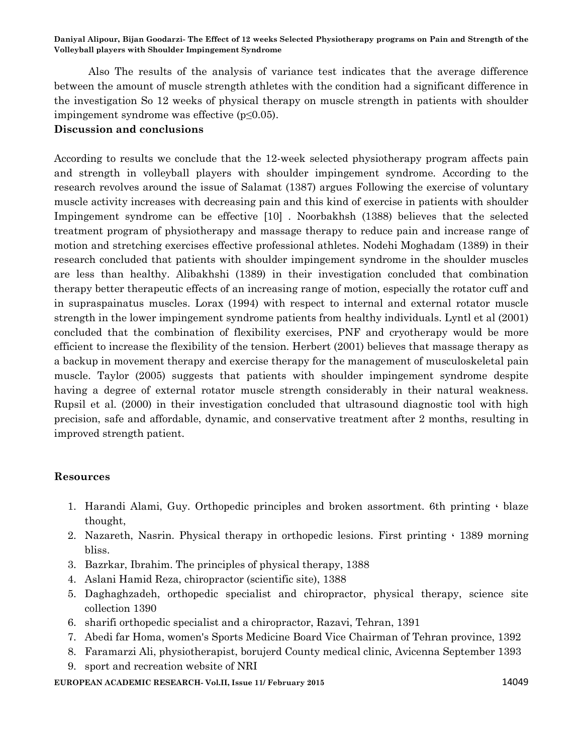Also The results of the analysis of variance test indicates that the average difference between the amount of muscle strength athletes with the condition had a significant difference in the investigation So 12 weeks of physical therapy on muscle strength in patients with shoulder impingement syndrome was effective  $(p \le 0.05)$ .

# **Discussion and conclusions**

According to results we conclude that the 12-week selected physiotherapy program affects pain and strength in volleyball players with shoulder impingement syndrome. According to the research revolves around the issue of Salamat (1387) argues Following the exercise of voluntary muscle activity increases with decreasing pain and this kind of exercise in patients with shoulder Impingement syndrome can be effective [10] . Noorbakhsh (1388) believes that the selected treatment program of physiotherapy and massage therapy to reduce pain and increase range of motion and stretching exercises effective professional athletes. Nodehi Moghadam (1389) in their research concluded that patients with shoulder impingement syndrome in the shoulder muscles are less than healthy. Alibakhshi (1389) in their investigation concluded that combination therapy better therapeutic effects of an increasing range of motion, especially the rotator cuff and in supraspainatus muscles. Lorax (1994) with respect to internal and external rotator muscle strength in the lower impingement syndrome patients from healthy individuals. Lyntl et al (2001) concluded that the combination of flexibility exercises, PNF and cryotherapy would be more efficient to increase the flexibility of the tension. Herbert (2001) believes that massage therapy as a backup in movement therapy and exercise therapy for the management of musculoskeletal pain muscle. Taylor (2005) suggests that patients with shoulder impingement syndrome despite having a degree of external rotator muscle strength considerably in their natural weakness. Rupsil et al. (2000) in their investigation concluded that ultrasound diagnostic tool with high precision, safe and affordable, dynamic, and conservative treatment after 2 months, resulting in improved strength patient.

## **Resources**

- 1. Harandi Alami, Guy. Orthopedic principles and broken assortment. 6th printing ، blaze thought,
- 2. Nazareth, Nasrin. Physical therapy in orthopedic lesions. First printing ، 1389 morning bliss.
- 3. Bazrkar, Ibrahim. The principles of physical therapy, 1388
- 4. Aslani Hamid Reza, chiropractor (scientific site), 1388
- 5. Daghaghzadeh, orthopedic specialist and chiropractor, physical therapy, science site collection 1390
- 6. sharifi orthopedic specialist and a chiropractor, Razavi, Tehran, 1391
- 7. Abedi far Homa, women's Sports Medicine Board Vice Chairman of Tehran province, 1392
- 8. Faramarzi Ali, physiotherapist, borujerd County medical clinic, Avicenna September 1393
- 9. sport and recreation website of NRI

**EUROPEAN ACADEMIC RESEARCH- Vol.II, Issue 11/ February 2015** 14049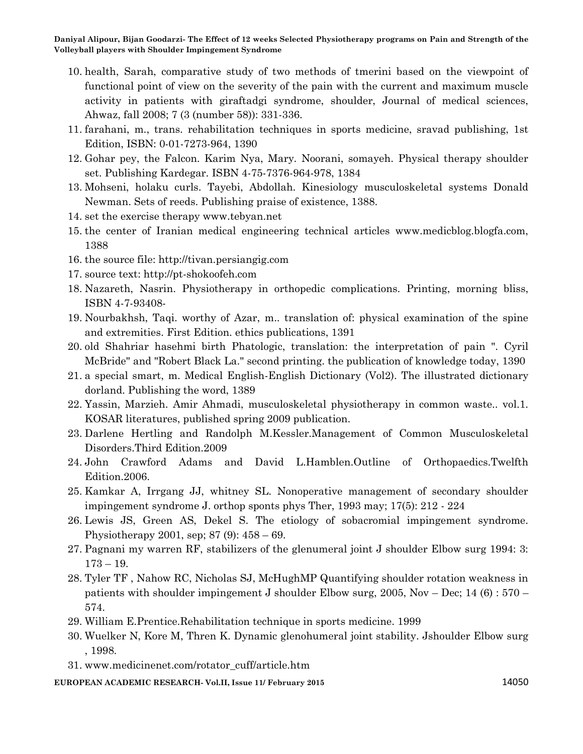- 10. health, Sarah, comparative study of two methods of tmerini based on the viewpoint of functional point of view on the severity of the pain with the current and maximum muscle activity in patients with giraftadgi syndrome, shoulder, Journal of medical sciences, Ahwaz, fall 2008; 7 (3 (number 58)): 331-336.
- 11. farahani, m., trans. rehabilitation techniques in sports medicine, sravad publishing, 1st Edition, ISBN: 0-01-7273-964, 1390
- 12. Gohar pey, the Falcon. Karim Nya, Mary. Noorani, somayeh. Physical therapy shoulder set. Publishing Kardegar. ISBN 4-75-7376-964-978, 1384
- 13. Mohseni, holaku curls. Tayebi, Abdollah. Kinesiology musculoskeletal systems Donald Newman. Sets of reeds. Publishing praise of existence, 1388.
- 14. set the exercise therapy www.tebyan.net
- 15. the center of Iranian medical engineering technical articles www.medicblog.blogfa.com, 1388
- 16. the source file: http://tivan.persiangig.com
- 17. source text: http://pt-shokoofeh.com
- 18. Nazareth, Nasrin. Physiotherapy in orthopedic complications. Printing, morning bliss, ISBN 4-7-93408-
- 19. Nourbakhsh, Taqi. worthy of Azar, m.. translation of: physical examination of the spine and extremities. First Edition. ethics publications, 1391
- 20. old Shahriar hasehmi birth Phatologic, translation: the interpretation of pain ". Cyril McBride" and "Robert Black La." second printing. the publication of knowledge today, 1390
- 21. a special smart, m. Medical English-English Dictionary (Vol2). The illustrated dictionary dorland. Publishing the word, 1389
- 22. Yassin, Marzieh. Amir Ahmadi, musculoskeletal physiotherapy in common waste.. vol.1. KOSAR literatures, published spring 2009 publication.
- 23. Darlene Hertling and Randolph M.Kessler.Management of Common Musculoskeletal Disorders.Third Edition.2009
- 24. John Crawford Adams and David L.Hamblen.Outline of Orthopaedics.Twelfth Edition.2006.
- 25. Kamkar A, Irrgang JJ, whitney SL. Nonoperative management of secondary shoulder impingement syndrome J. orthop sponts phys Ther, 1993 may; 17(5): 212 - 224
- 26. Lewis JS, Green AS, Dekel S. The etiology of sobacromial impingement syndrome. Physiotherapy 2001, sep; 87 (9): 458 – 69.
- 27. Pagnani my warren RF, stabilizers of the glenumeral joint J shoulder Elbow surg 1994: 3: 173 – 19.
- 28. Tyler TF , Nahow RC, Nicholas SJ, McHughMP Quantifying shoulder rotation weakness in patients with shoulder impingement J shoulder Elbow surg, 2005, Nov – Dec; 14 (6) : 570 – 574.
- 29. William E.Prentice.Rehabilitation technique in sports medicine. 1999
- 30. Wuelker N, Kore M, Thren K. Dynamic glenohumeral joint stability. Jshoulder Elbow surg , 1998.
- 31. www.medicinenet.com/rotator\_cuff/article.htm

**EUROPEAN ACADEMIC RESEARCH- Vol.II, Issue 11/ February 2015** 14050